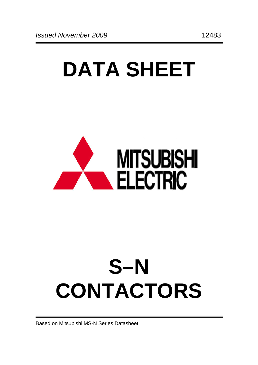# **DATA SHEET**



# **S–N CONTACTORS**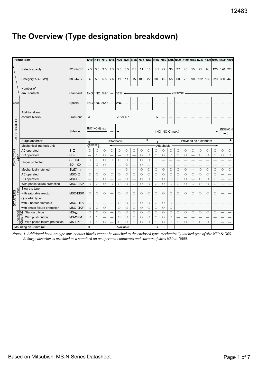# **The Overview (Type designation breakdown)**

|                    | <b>Frame Size</b>                                               |                      | N10                      | N <sub>11</sub> | N <sub>12</sub> | N <sub>18</sub> N <sub>20</sub> |                                 | <b>N21</b> | <b>N25</b>               |            |         | N35 N50 N65 N80 |            |                          |                                 |         |                          | N95 N125 N150 N180 N220 N300 N400 N600 |         |         |         | <b>N800</b>   |
|--------------------|-----------------------------------------------------------------|----------------------|--------------------------|-----------------|-----------------|---------------------------------|---------------------------------|------------|--------------------------|------------|---------|-----------------|------------|--------------------------|---------------------------------|---------|--------------------------|----------------------------------------|---------|---------|---------|---------------|
|                    | Rated capacity                                                  | 220-240V             | 2.5                      | 3.5             | 3.5             | 4.5                             | 5.5                             | 5.5        | 7.5                      | 11         | 15      | 18.5            | 22         | 30                       | 37                              | 45      | 55                       | 75                                     | 90      | 125     | 190     | 220           |
|                    | Category AC-3(kW)                                               | 380-440V             | 4                        | 5.5             | 5.5             | 7.5                             | 11                              | 11         | 15                       | 18.5       | 22      | 30              | 45         | 55                       | 60                              | 75      | 90                       | 132                                    |         | 160 220 | 330     | 440           |
|                    | Number of<br>aux. contacts                                      | Standard             |                          | 1NO 1NO 10010   |                 |                                 | 1NO <sub>1</sub> N <sub>C</sub> |            |                          |            |         |                 |            |                          | 2NO <sub>2</sub> N <sub>C</sub> |         |                          |                                        |         |         |         |               |
| Spec               |                                                                 | Special              |                          | $1NC$ 1NC $2NO$ |                 |                                 | 2NO                             |            |                          |            |         |                 |            |                          |                                 |         |                          |                                        |         |         |         |               |
|                    | Additional aux.<br>contact blocks<br>Front-on <sup>1</sup>      |                      |                          |                 |                 |                                 | 2P or 4P                        |            |                          |            |         |                 |            |                          |                                 |         |                          |                                        |         |         |         |               |
| <b>ACCESSORIES</b> |                                                                 | Side-on              |                          | 1NO1NC×2(max.)  |                 |                                 |                                 |            |                          |            |         |                 |            | $-1NO1NC \times 2(max.)$ |                                 |         |                          |                                        |         |         | (max.)  | 2NO2NC×1      |
|                    | Surge absorber <sup>3</sup>                                     |                      |                          |                 |                 |                                 | Attachable                      |            |                          |            | ↞       | ۰               |            |                          |                                 |         |                          | Provided as a standard                 |         |         |         |               |
|                    | Mechanical interlock unit                                       |                      | ◄                        | Attachable      |                 | ↞                               |                                 |            |                          |            |         |                 | Attachable |                          |                                 |         |                          |                                        |         |         |         |               |
| CONTACTORS         | AC operated                                                     | $S - \Box$           | $\circ$                  | $\circ$         | $\circ$         | $\circ$                         | О                               | $\circ$    | $\circ$                  | $\circ$    | $\circ$ | $\circ$         | $\circ$    | $\circ$                  | $\circ$                         | $\circ$ | $\circ$                  | $\circ$                                | $\circ$ | $\circ$ | $\circ$ | $\circ$       |
|                    | DC operated                                                     | $SD-D$               |                          | $\circ$         | $\circ$         |                                 |                                 | $\circ$    | $\overline{\phantom{0}}$ | $\circ$    | $\circ$ | $\circ$         | $\circ$    | $\circ$                  | $\circ$                         | $\circ$ | $\overline{\phantom{0}}$ | $\circ$                                | $\circ$ | $\circ$ | $\circ$ | $\bigcirc$    |
|                    | Finger protected                                                | $S$ - $\Box$ $CX$    | $\circ$                  | $\circ$         | $\bigcirc$      | $\bigcirc$                      | $\circ$                         | $\circ$    | $\circ$                  | $\bigcirc$ | $\circ$ | $\circ$         |            |                          |                                 |         |                          |                                        |         |         |         |               |
|                    |                                                                 | $SD-DCX$             |                          | $\circ$         | $\circ$         |                                 |                                 | $\circ$    |                          | $\circ$    |         |                 |            |                          |                                 |         |                          |                                        |         |         |         |               |
|                    | Mechanically latched                                            | $SL(D)-\Box$         | $\overline{\phantom{0}}$ |                 |                 |                                 | $\overline{\phantom{0}}$        | $\circ$    |                          | $\bigcirc$ | $\circ$ | $\circ$         | $\circ$    | $\circ$                  | $\circ$                         | $\circ$ |                          | $\circ$                                | $\circ$ | $\circ$ | $\circ$ | $\circ$       |
|                    | AC operated                                                     | $MSO - \Box$         | $\circ$                  | $\circ$         | $\bigcirc$      | $\circ$                         | $\circ$                         | $\circ$    | $\circ$                  | $\circ$    | $\circ$ | $\circ$         | $\circ$    | $\circ$                  | $\circ$                         | $\circ$ | $\circ$                  | $\circ$                                | $\circ$ | $\circ$ |         |               |
|                    | DC operated                                                     | MSOD-□               |                          | $\circ$         | $\circ$         |                                 |                                 | $\circ$    |                          | $\circ$    | $\circ$ | $\circ$         | $\circ$    | $\circ$                  | $\circ$                         | $\circ$ |                          | $\circ$                                | $\circ$ | $\circ$ |         | $\Rightarrow$ |
|                    | With phase failure protection                                   | MSO-□KP              | $\circ$                  | $\circ$         | $\circ$         | $\circ$                         | $\circ$                         | $\circ$    | $\circ$                  | $\circ$    | $\circ$ | $\circ$         | $\circ$    | $\circ$                  | $\circ$                         | $\circ$ | $\circ$                  | $\circ$                                | $\circ$ | $\circ$ |         |               |
|                    | Slow trip type                                                  | MSO-□SR              | $\circ$                  | $\circ$         | $\circ$         |                                 | $\circ$                         | $\circ$    | $\circ$                  | $\circ$    | $\circ$ | $\circ$         | $\circ$    | $\circ$                  | $\circ$                         | $\circ$ | $\circ$                  | $\circ$                                | $\circ$ | $\circ$ |         |               |
|                    | with saturable reactor                                          |                      |                          |                 |                 |                                 |                                 |            |                          |            |         |                 |            |                          |                                 |         |                          |                                        |         |         |         |               |
|                    | Quick-trip type                                                 |                      |                          |                 |                 |                                 |                                 |            |                          |            |         |                 |            |                          |                                 |         |                          |                                        |         |         |         |               |
|                    | with 2 heater elements                                          | MSO- <sub>L</sub> FS |                          |                 |                 |                                 | $\circ$                         | $\circ$    | $\circ$                  | $\circ$    | $\circ$ | $\circ$         | $\circ$    | $\circ$                  |                                 |         |                          |                                        |         |         |         |               |
| STARTERS<br>Open   | with phase failure protection                                   | <b>MSO-□KF</b>       | $\circ$                  | $\circ$         | $\circ$         |                                 | $\circ$                         | $\circ$    | $\circ$                  | $\circ$    | $\circ$ | $\circ$         | $\circ$    | $\circ$                  |                                 |         |                          |                                        |         |         |         |               |
|                    | Standard type                                                   | $MS-D$               | $\circ$                  | $\circ$         | $\circ$         |                                 | $\circ$                         | $\circ$    | $\circ$                  | $\circ$    | $\circ$ | $\circ$         | $\circ$    | $\circ$                  | $\circ$                         | $\circ$ | $\circ$                  | $\bigcirc$                             | $\circ$ | $\circ$ |         |               |
|                    | With push button                                                | MS- <sub>IPM</sub>   | $\circ$                  | $\circ$         |                 |                                 | $\circ$                         | $\circ$    | $\bigcirc$               | $\bigcirc$ | $\circ$ | $\circ$         | $\circ$    | $\circ$                  |                                 |         |                          |                                        |         |         |         |               |
| Enclosed           | Class<br>With phase failure protection<br>Mounting on 35mm rail | MS- <sub>DKP</sub>   | $\circ$                  | $\circ$         | $\bigcirc$      |                                 | $\circ$                         | $\bigcirc$ | $\bigcirc$               | O          | $\circ$ | $\circ$         | $\circ$    | $\circ$                  | $\circ$                         | $\circ$ | $\circ$                  | $\circ$                                | $\circ$ | $\circ$ |         |               |

*Notes: 1. Additional head-on type aux. contact blocks cannot be attached to the enclosed type, mechanically latched type of size N50 & N65. 2. Surge absorber is provided as a standard on ac operated contactors and starters of sizes N50 to N800.*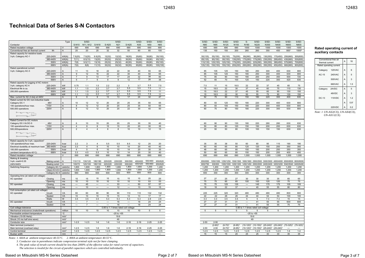| S/SD-           | S/SD-           | $S/SD-$         | $S/SD-$             | S-                       | $S/SD-$                                             | $S/SD-$         | $S/SD-$         | $S/SD-$                                                                       | S/SD-             |
|-----------------|-----------------|-----------------|---------------------|--------------------------|-----------------------------------------------------|-----------------|-----------------|-------------------------------------------------------------------------------|-------------------|
| N80             | N95             | N125            | N150                | N180                     | N220                                                | N300            | N400            | N600                                                                          | N800              |
| 690             | 690             | 690             | 690                 | 1000                     | 1000                                                | 1000            | 1000            | 1000                                                                          | 1000              |
| 135             | 150             | 150             | 200                 | 260                      | 260                                                 | 350             | 450             | 8001                                                                          | 1000 <sup>2</sup> |
|                 |                 |                 |                     |                          |                                                     |                 |                 |                                                                               |                   |
| 50(135)         | 55(150)         | 55(150)         | 75(200)             | 95(260)                  | 95(260)                                             | 130(350)        | 170(450)        | 250(660)                                                                      | 300(800)          |
| 85(135)         | 90(150)         | 90(150)         | 130(200)            | 170(260)                 | 170(260)                                            | 230(350)        | 290(450)        | 430(660)                                                                      | 530(800)          |
| 110(135)        | 120(150)        | 120(150)        | 170(200)            | 220(260)                 | 220(260)                                            | 300(350)        | 380(450)        | 570(660)                                                                      | 700(800)          |
| 135(135)        | 150(150)        | 150(150)        | 200(200)            | 260(260)                 | 260(260)                                            | 350(350)        | 450(450)        | 660(660)                                                                      | 900(800)          |
|                 |                 |                 |                     |                          |                                                     |                 |                 |                                                                               |                   |
| 85              | 105             | 125             | 150                 | 180                      | 250                                                 | 300             | 400             | 630                                                                           | 800               |
| 85              | 105             | 120             | 150                 | 180                      | 250                                                 | 300             | 400             | 630                                                                           | 800               |
| 75              | 85              | 90              | 140                 | 180                      | 200                                                 | 250             | 350             | 500                                                                           | 720               |
| 52              | 65              | 70              | 100                 | 120                      | 150                                                 | 220             | 300             | 420                                                                           | 630               |
|                 |                 |                 |                     |                          |                                                     |                 |                 |                                                                               |                   |
| 7.5             | 11              | 15              | 18.5                | 22                       | 22                                                  | 37              | 45              | 65                                                                            | 75                |
| 15              | 18.5            | 22              | 30                  | 37                       | 45                                                  | 60              | 75              | 110                                                                           | 130               |
| 15              | 18.5            | 22              | 37                  | 45                       | 55                                                  | 60              | 90              | 130                                                                           | 150               |
| 15              | 18.5            | 22              | 30                  | 50                       | 55                                                  | 75              | 90              | 130                                                                           | 150               |
| 62              | 75              | 90              | 110                 | 150                      | 180                                                 | 220             | 300             | 400                                                                           | 630               |
|                 |                 |                 |                     |                          |                                                     |                 |                 |                                                                               |                   |
| 80              | 93              | 120             | 150                 | 180                      | 220                                                 | 300             | 400             | 630                                                                           | 800               |
| 80              | 93              | 100             | 150                 | 180                      | 220                                                 | 300             | 400             | 630                                                                           | 800               |
| 60              | 70              | 80              | 150                 | 180                      | 220                                                 | 300             | 300             | 630                                                                           | 800               |
|                 |                 |                 |                     |                          |                                                     |                 |                 |                                                                               |                   |
|                 |                 |                 |                     |                          |                                                     |                 |                 |                                                                               |                   |
|                 |                 |                 |                     |                          |                                                     |                 |                 |                                                                               |                   |
| 60              | 90              | 90              | 130                 | 180                      | 220                                                 | 280             | 280             | 630                                                                           | 630               |
| 50              | 80              | 80              | 120                 | 150                      | 150                                                 | 200             | 200             | 630                                                                           | 630               |
| 20              | 50              | 50              | 80                  | 100                      | 100                                                 | 150             | 150             | 630                                                                           | 630               |
|                 |                 |                 |                     |                          |                                                     |                 |                 |                                                                               |                   |
|                 |                 |                 |                     |                          |                                                     |                 |                 |                                                                               |                   |
|                 |                 |                 |                     |                          |                                                     |                 |                 |                                                                               |                   |
|                 |                 |                 |                     |                          |                                                     |                 |                 |                                                                               |                   |
|                 |                 |                 |                     |                          |                                                     |                 |                 |                                                                               |                   |
|                 |                 |                 |                     |                          |                                                     |                 |                 |                                                                               |                   |
| 35<br>60        | 35<br>60        | 38<br>65        | 50<br>80            | 60<br>120                | 60<br>120                                           | 95<br>150       | 115<br>200      | 190<br>350                                                                    | 190<br>350        |
| 48              | 60              | 65              | 80                  | 150                      | 150                                                 | 200             | 250             | 350                                                                           | 350               |
| 50              | 60              | 65              | 80                  | 150                      | 150                                                 | 200             | 200             | 400                                                                           | 400               |
| 690             | 690             | 690             | 690                 | 1,000                    | 1,000                                               | 1,000           | 1,000           | 1,000                                                                         | 1,000             |
|                 |                 |                 |                     |                          |                                                     |                 |                 |                                                                               |                   |
| 850/850         | 1050/1050       |                 | 1250/1250 1500/1500 |                          | 1800/1800 2500/2500                                 |                 |                 | 3000/3000 4000/4000 6500/6500                                                 | 8000/8000         |
| 800/750         | 930/930         | 1000/1000       | 1200/1200           | 1450/1450                | 2000/2000                                           | 2400/2400       | 3200/3200       | 5040/5040                                                                     | 6400/6400         |
| 1,200           | 1,200           | 1,200           | 1,200               | 1,200                    | 1,200                                               | 1,200           | 1,200           | 1,200                                                                         | 1,200             |
| 1,200           | 1,200           | 1,200           | 1,200               | 1,200                    | 1,200                                               | 1,200           | 1,200           | 1,200                                                                         | 1,200             |
| 600             | 300             | 300             | 300                 | 300                      | 300                                                 | 300             | 300             | 300                                                                           | 300               |
|                 |                 |                 |                     |                          |                                                     |                 |                 |                                                                               |                   |
| 27              | 27              | 25              | 27                  | 30                       | 30                                                  | 35              | 35              | 65                                                                            | 65                |
| 75              | 75              | 85              | 85                  | 100                      | 100                                                 | 120             | 120             | 75                                                                            | 75                |
| 75              | 75              | 125             | 135                 |                          | 145                                                 | 175             | 175             | 105                                                                           | 105               |
| 18              | 18              | 22              | 37                  |                          | 40                                                  | 55              | 55              | 80                                                                            | 80                |
|                 |                 |                 |                     |                          |                                                     |                 |                 |                                                                               |                   |
| 225             | 225             | 320             | 320                 | 480                      | 480                                                 | 480             | 480             | 800                                                                           | 800               |
| 22              | 22              | 26              | 26                  | 44                       | 44                                                  | 54              | 54              | 100                                                                           | 100               |
| 3.3             | 3.3             | 3.5             | 3.5                 | 5                        | 5                                                   | 7.3             | 7.3             | 15                                                                            | 15                |
| 27              | 27              | 31              | 31                  | $\overline{\phantom{0}}$ | 41                                                  | 55              | 55              | 600                                                                           | 600               |
| 27              | 27              | 31              | 31                  |                          | 41                                                  | 55              | 55              | 75                                                                            | 75                |
|                 |                 |                 |                     |                          | 0.85 to 1.1 times rated coil voltage                |                 |                 |                                                                               |                   |
| 5               | 5               | $\overline{5}$  | 5                   | 5                        | 5                                                   | 5               | 5               | 5                                                                             | 5                 |
|                 |                 |                 |                     |                          | $-25$ to +55                                        |                 |                 |                                                                               |                   |
|                 |                 |                 |                     |                          | 19.6                                                |                 |                 |                                                                               |                   |
|                 |                 |                 |                     |                          | 49                                                  |                 |                 |                                                                               |                   |
| $2 - 50$        | $2 - 50$        |                 |                     |                          |                                                     |                 |                 |                                                                               |                   |
|                 | $(2-60)^3$      | $(6-70)^3$      | $(6-95)^3$          |                          |                                                     |                 |                 | $(10-120)^3$ $(10-150)^3$ $(25-240)^3$ $(25-240)^3$ $(70-325)^3$ $(70-325)^3$ |                   |
| $2 - 50$        | $2 - 50$        | $(6-70)^3$      | $(6-95)^3$          |                          | $(10-120)^3$ $(10-150)^3$ $(25-240)^3$ $(25-240)^3$ |                 |                 |                                                                               |                   |
| $1 - 2.5$<br>15 | $1 - 2.5$<br>15 | $1 - 2.5$<br>15 | $1 - 2.5$<br>20     | $1 - 2.5$<br>25          | $1 - 2.5$<br>25                                     | $1 - 2.5$<br>30 | $1 - 2.5$<br>30 | $1 - 4$<br>35                                                                 | $1 - 4$<br>35     |

| Conventional free air<br>thermal current |               | A | 16               |
|------------------------------------------|---------------|---|------------------|
| Rated operating current                  |               |   |                  |
| Category                                 | <b>120VAC</b> | A | 6                |
| $AC-15$                                  | 240VAC        | A | 5                |
|                                          | 500VAC        | A | 3                |
|                                          | 660VAC        | A | 1.5              |
| Category                                 | 24VDC         | A | 5                |
|                                          | 48VDC         | A | 3                |
| $DC-13$                                  | <b>110VDC</b> | A | 1.2              |
|                                          |               | A | 0.8 <sup>1</sup> |
|                                          | 220VDC        | А | 0.2              |

## **Rated operating current of auxiliary contacts**

*Note: 1 UN-AX2(CX), UN-AX4(CX), UN-AX11(CX).*

|                                                  |                     | <b>Type</b>               |                          | S/SD-             |                          |                                      | S/SD-                    |                          | S/SD-                    | S/SD-             | S/SD-                    |
|--------------------------------------------------|---------------------|---------------------------|--------------------------|-------------------|--------------------------|--------------------------------------|--------------------------|--------------------------|--------------------------|-------------------|--------------------------|
| Contactor                                        |                     |                           | S-N <sub>10</sub>        | N11, N12          | S-N18                    | S-N20                                | N21                      | S-N25                    | N35                      | N <sub>50</sub>   | N65                      |
| Rated insulation voltage                         |                     | $\vee$                    | 690                      | 690               | 690                      | 690                                  | 690                      | 690                      | 690                      | 690               | 690                      |
| Conventional free air thermal current            | Ith                 | A                         | 20                       | 20                | 25                       | 32                                   | 32                       | 50                       | 60                       | 80                | 100                      |
| Rated capacity for resistive loads               |                     |                           |                          |                   |                          |                                      |                          |                          |                          |                   |                          |
| 3-ph, Category AC-1                              | 220-240V            | kW(A)                     | 7.5(20)                  | 7.5(20)           | 9.5(25)                  | 12(32)                               | 12(32)                   | 18(50)                   | 20(60)                   | 30(80)            | 35(100)                  |
|                                                  | 380-440V            | kW(A)                     | 7(11)                    | 8.5(13)           | 13(20)                   | 20(32)                               | 20(32)                   | 30(50)                   | 35(60)                   | 50(80)            | 65(100)                  |
|                                                  | 500V                | kW(A)                     | 7(8)                     | 9.5(11)           | 13(16)                   | 25(32)                               | 25(32)                   | 40(50)                   | 50(60)                   | 65(80)            | 85(100)                  |
|                                                  | 690V                | kW(A)                     | 7(6)                     | 8(8)              | 11(10)                   | 30(32)                               | 30(32)                   | 50(50)                   | 60(60)                   | 80(80)            | 100(100)                 |
| Rated operational current                        |                     |                           |                          |                   |                          |                                      |                          |                          |                          |                   |                          |
| 3-ph, Category AC-3                              | 220-240V            | Α                         | 11                       | 13                | 18                       | 22                                   | 22                       | 30                       | 40                       | 55                | 65                       |
|                                                  | 380-440V            | A                         | 9                        | 12                | 16                       | 22                                   | 22                       | 30                       | 40                       | 50                | 65                       |
|                                                  | 500V                | A                         | $\overline{7}$           | 9                 | 13                       | 17                                   | 17                       | 24                       | 32                       | 38                | 60                       |
|                                                  | 690V                | $\boldsymbol{\mathsf{A}}$ | 5                        | $\overline{7}$    | 9                        | 9                                    | 9                        | 12                       | 17                       | 26                | 38                       |
| Rated capacity for jogging of AC motors          |                     |                           |                          |                   |                          |                                      |                          |                          |                          |                   |                          |
| 3-ph, category AC-4                              | 220-240V            | kW                        | 0.75                     | 1.1               | 1.5                      | 2.2                                  | 2.2                      | 3                        | 3.7                      | 5.5               | 7.5                      |
| Electrical life is ca.                           | 380-440V            | kW                        | 1.1                      | 1.5               | 2.2                      | 3.7                                  | 3.7                      | 5.5                      | 5.5                      | 7.5               | 11                       |
| 200,000 operations                               | 500V                | kW                        | 1.1                      | 1.5               | 2.2                      | 3.7                                  | 3.7                      | 5.5                      | 5.5                      | 7.5               | 11                       |
|                                                  | 690V                | kW                        | 1.1                      | 1.5               | 2.2                      | 3.7                                  | 3.7                      | 5.5                      | 5.5                      | 7.5               | 11                       |
| Max. current for AC-4 duty at 440V               |                     | A                         | 6                        | 9                 | 9                        | 13                                   | 13                       | 17                       | 24                       | 32                | 47                       |
| Rated current for DC non-inductive loads         |                     |                           |                          |                   |                          |                                      |                          |                          |                          |                   |                          |
| Category DC-1                                    | 48V                 | Α                         | 10                       | 12                | 12                       | 20                                   | 20                       | 25                       | 35                       | 50                | 65                       |
| 100 operations/hour max.                         | 110V                | A                         | 8                        | 12                | 12                       | 20                                   | 20                       | 25                       | 35                       | 50                | 65                       |
| 500,000 operations                               | 220V                | Α                         | 8                        | 12                | 12                       | 20                                   | 20                       | 22                       | 30                       | 40                | 50                       |
|                                                  |                     |                           |                          |                   |                          |                                      |                          |                          |                          |                   |                          |
| $\sim$                                           |                     |                           |                          |                   |                          |                                      |                          |                          |                          |                   |                          |
|                                                  |                     |                           |                          |                   |                          |                                      |                          |                          |                          |                   |                          |
| Rated Current for DC motors                      |                     |                           |                          |                   |                          |                                      |                          |                          |                          |                   |                          |
| Category DC-3 & DC-5                             | 48V                 | Α                         | 6                        | 10                | 10                       | 20                                   | 20                       | 25                       | 30                       | 35                | 40                       |
| 100 operations/hour max.                         | 110V                | A                         | 4                        | 8                 | 8                        | 15                                   | 15                       | 20                       | 20                       | 30                | 35                       |
|                                                  |                     | A                         | $\overline{2}$           | 4                 | $\overline{4}$           | 8                                    | 8                        | 10                       | 10                       | 12                |                          |
| 500,000operations                                | 220V                |                           |                          |                   |                          |                                      |                          |                          |                          |                   | 15                       |
|                                                  |                     |                           |                          |                   |                          |                                      |                          |                          |                          |                   |                          |
|                                                  |                     |                           |                          |                   |                          |                                      |                          |                          |                          |                   |                          |
| Rated capacity for 3-ph, capacitors <sup>4</sup> |                     |                           |                          |                   |                          |                                      |                          |                          |                          |                   |                          |
| 120 operations/hour max.                         | 220-240V            | kvar                      | 2.2                      | 3                 | 4                        | 5.5                                  | 5.5                      | 8.5                      | 12                       | 20                | 20                       |
|                                                  |                     |                           | 3.3                      | $\overline{4}$    | 6                        | 10                                   | 10                       | 14                       | 20                       | 40                | 40                       |
| Electrical durability at maximum load: 380-440V  |                     | kvar                      |                          |                   |                          |                                      |                          |                          |                          |                   |                          |
| 100,000 operations                               | 550V                | kvar                      | 4                        | 5                 | 6                        | 10                                   | 10                       | 14                       | 20                       | 30                | 35                       |
| (ambient temperature 40°C)                       | 690V                | kvar                      | 3.3                      | 4.5               | 5.5                      | 10                                   | 10                       | 14                       | 20                       | 30                | 40                       |
| Rated insulation voltage                         |                     | V                         | 690                      | 690               | 690                      | 690                                  | 690                      | 690                      | 690                      | 690               | 690                      |
| Making & breaking                                |                     |                           |                          |                   |                          |                                      |                          |                          |                          |                   |                          |
| 3-ph, cos $\Theta$ =0.35                         | Making current      | Α                         | 110/110                  | 130/120           | 180/180                  | 220/220                              | 220/220                  | 300/300                  | 400/400                  | 550/460           | 650/620                  |
| 240V/440V                                        | Breaking current    | A                         | 100/72                   | 120/100           | 180/130                  | 220/220                              | 220/220                  | 300/240                  | 400/320                  | 550/460           | 650/620                  |
| Switching frequency                              | Category AC-1       | operations/hour           | 1,800                    | 1,800             | 1,800                    | 1,800                                | 1,800                    | 1,800                    | 1,800                    | 1,200             | 1,200                    |
|                                                  | Category AC2 & AC-3 | operations/hour           | 1,800                    | 1,800             | 1,800                    | 1,800                                | 1,800                    | 1,800                    | 1,800                    | 1,200             | 1,200                    |
|                                                  | Category AC-4       | operations/hour           | 660                      | 660               | 600                      | 600                                  | 600                      | 600                      | 600                      | 600               | 600                      |
| Operating time (at rated coil voltage)           |                     |                           |                          |                   |                          |                                      |                          |                          |                          |                   |                          |
| AC operated                                      | Closing             | ms                        | 15                       | 15                | 15                       | 15                                   | 15                       | 15                       | 15                       | 25                | 25                       |
|                                                  | Opening             | ms                        | 10                       | 10                | 10                       | 10                                   | 10                       | 10                       | 10                       | 53                | 53                       |
| DC operated                                      | Closing             | ms                        | $\overline{\phantom{0}}$ | 45                | $\qquad \qquad -$        | $\overline{\phantom{0}}$             | 33                       | Ξ                        | 50                       | $\overline{57}$   | 57                       |
|                                                  | Opening             | ms                        | $\qquad \qquad -$        | 10                | —                        | $\qquad \qquad$                      | 12                       | $\qquad \qquad -$        | 13                       | 15                | 15                       |
| Coil consumption (at rated coil voltage)         |                     |                           |                          |                   |                          |                                      |                          |                          |                          |                   |                          |
| AC operated                                      | Inrush              | VA                        | 60                       | 60                | 60                       | 90                                   | 90                       | 110                      | 110                      | 132               | 132                      |
|                                                  | Sealed              | VA                        | 10                       | 10                | 10                       | 15                                   | 15                       | 13                       | 13                       | 17                | 17                       |
|                                                  | Watts               | W                         | 3.5                      | 3.5               | 3.5                      | 5.3                                  | 5.3                      | 5.3                      | 5.3                      | 2.8               | 2.8                      |
| DC operated                                      | Inrush              | VA                        | —                        | $\overline{7}$    | $\overline{\phantom{m}}$ |                                      | 16                       |                          | 18                       | 24                | 24                       |
|                                                  | Sealed              | VA                        | $\overline{\phantom{0}}$ | $\overline{7}$    | $\qquad \qquad -$        | $\overline{\phantom{0}}$             | 16                       | $\overline{\phantom{0}}$ | 18                       | 24                | 24                       |
| Coil voltage tolerance                           |                     |                           |                          |                   |                          | 0.85 to 1.1 times rated coil voltage |                          |                          |                          |                   |                          |
| Mechanical endurance (make/break operations)     |                     | million                   | 10                       | 10                | 10                       | 10                                   | 10                       | 10                       | 10                       | 5                 | 5                        |
| Permissible ambient temperature                  |                     | $^{\circ}C$               |                          |                   |                          |                                      | $-25$ to $+55$           |                          |                          |                   |                          |
| Vibration (10-55 Hertz)                          |                     | m/s <sup>2</sup>          |                          |                   |                          |                                      | 19.6                     |                          |                          |                   |                          |
| Shock (10 ms half sine wave)                     |                     | m/s <sup>2</sup>          |                          |                   |                          |                                      | 49                       |                          |                          |                   |                          |
| Conductor size                                   |                     | mm <sup>2</sup>           | $1 - 2.5$                | $1 - 2.5$         | $1 - 6$                  | $1 - 6$                              | $1 - 6$                  | $2 - 16$                 | $2 - 16$                 | $2 - 25$          | $2 - 25$                 |
| Main terminal (contactor)                        |                     |                           |                          |                   |                          |                                      |                          |                          |                          |                   |                          |
| Main terminal (overload relay)                   |                     | mm <sup>2</sup>           | $1 - 2.5$                | $1 - 2.5$         | $1 - 6$                  | $1 - 6$                              | $1 - 6$                  | $2 - 16$                 | $2 - 16$                 | $2 - 25$          | $2 - 25$                 |
| Control terminal                                 |                     | mm <sup>2</sup>           | $1 - 2.5$                | $1 - 2.5$         | $1 - 2.5$                | $1 - 2.5$                            | $1 - 2.5$                | $1 - 2.5$                | $1 - 2.5$                | $1 - 2.5$         | $1 - 2.5$                |
| Busbar width                                     |                     | mm                        | $\qquad \qquad -$        | $\qquad \qquad -$ | $\overline{\phantom{0}}$ | $\qquad \qquad -$                    | $\overline{\phantom{m}}$ | $\qquad \qquad -$        | $\overline{\phantom{m}}$ | $\qquad \qquad -$ | $\overline{\phantom{0}}$ |

## **Technical Data of Series S-N Contactors**

*Notes: 1. 660A at ambient temperature 40-55*°*C. 2. 800A at ambient temperature 40-55*°*C.*

*3. Conductor size in parentheses indicate compression terminal style not for bare clamping.*

*4. The peak value of inrush current should be less than 2000% of the effective value for rated current of capacitors.*

*The selection is invalid for the circuit of parallel capacitors which are controlled individually.*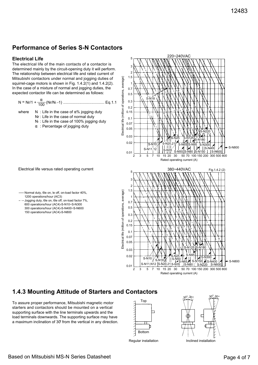## **Performance of Series S-N Contactors**

### **Electrical Life**

The electrical life of the main contacts of a contactor is determined mainly by the circuit-opening duty it will perform. The relationship between electrical life and rated current of Mitsubishi contactors under normal and jogging duties of squirrel-cage motors is shown in Fig. 1.4.2(1) and 1.4.2(2). In the case of a mixture of normal and jogging duties, the expected contactor life can be determined as follows:

$$
N = Nr/1 + \frac{\alpha}{100} (Nr/N - 1) \dots (100)
$$

where 
$$
N
$$
: Life in the case of  $\alpha\%$  jogging duty

Nr : Life in the case of normal duty

- N<sub>1</sub> : Life in the case of 100% jogging duty
- $\alpha$ : Percentage of jogging duty



Electrical life versus rated operating current

· Jogging duty, 6le on, 6le off, on-load factor 7%, 600 operations/hour (AC4)-S-N10~S-N300 300 operations/hour (AC4)-S-N400~S-N600 150 operations/hour (AC4)-S-N800



## **1.4.3 Mounting Attitude of Starters and Contactors**

To assure proper performance, Mitsubishi magnetic motor starters and contactors should be mounted on a vertical supporting surface with the line terminals upwards and the load terminals downwards. The supporting surface may have a maximum inclination of 30° from the vertical in any direction.





Regular installation **Inclined** installation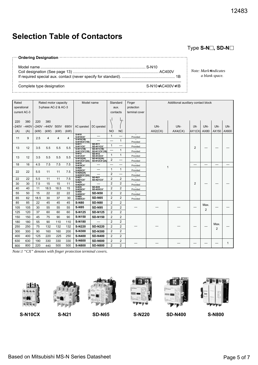# **Selection Table of Contactors**

**Ordering Designation**

Model name ................................................................................................. S-N10 Coil designation (See page 13) ............................................................................... AC400V If required special aux. contact (never specify for standard). ................................................. 1B

*Note: Mark*∗*indicates a blank space.*

Type S-N□, SD-N□

Complete type designation S-N10∗AC400V∗1B

| Rated        |                |      | Rated motor capacity |      |      | Model name                                   |                                                 |                | Standard       | Finger                               |         | Additional auxiliary contact block |                |                |                |       |
|--------------|----------------|------|----------------------|------|------|----------------------------------------------|-------------------------------------------------|----------------|----------------|--------------------------------------|---------|------------------------------------|----------------|----------------|----------------|-------|
| operational  |                |      | 3-phase AC-2 & AC-3  |      |      |                                              |                                                 |                | aux.           | protection                           |         |                                    |                |                |                |       |
| current AC-3 |                |      |                      |      |      |                                              |                                                 |                | contacts       | terminal cover                       |         |                                    |                |                |                |       |
|              |                |      |                      |      |      |                                              |                                                 |                |                |                                      |         |                                    |                |                |                |       |
| 220          | 380            | 220  | 380                  |      |      |                                              |                                                 |                |                |                                      |         |                                    |                |                |                |       |
|              | $-240V - 440V$ |      | $-240V - 440V$       | 500V | 690V | AC operated                                  | DC operated                                     |                |                |                                      | UN-     | UN-                                | UN-            | UN-            | UN-            | UN-   |
| (A)          | (A)            | (kW) | (kW)                 | (kW) | (kW) |                                              |                                                 | N <sub>O</sub> | <b>NC</b>      |                                      | AX2(CX) | AX4(CX)                            | AX11(CX)       | AX80           | AX150          | AX600 |
|              |                |      |                      |      |      | $S-N10$<br>S-N10CX <sup>1</sup>              |                                                 | $\mathbf{1}$   |                | Provided                             |         |                                    |                |                |                |       |
| 11           | 9              | 2.5  | $\overline{4}$       | 4    | 4    | $S-N10(1B)$<br>$S-N10\text{CX}^{\prime}(1B)$ |                                                 |                | 1              | Provided                             |         |                                    |                |                |                |       |
|              |                |      |                      |      |      | S-N11<br>S-N11CX <sup>1</sup>                | <b>SD-N11</b><br><b>SD-N11CX1</b>               | $\mathbf{1}$   |                | $\overline{\phantom{0}}$<br>Provided |         |                                    |                |                |                |       |
| 13           | 12             | 3.5  | 5.5                  | 5.5  | 5.5  | $S-N11(1B)$<br>S-N11CX <sup>1</sup> (1B)     | <b>SD-N11(1B)</b><br>SD-N11CX <sup>1</sup> (1B) |                | 1              | Provided                             |         |                                    | $\overline{2}$ |                |                |       |
|              |                |      |                      |      |      | $S-N12$<br>S-N12CX <sup>1</sup>              | <b>SD-N12</b><br><b>SD-N12CX1</b>               | $\mathbf{1}$   | 1              | $\equiv$<br>Provided                 |         |                                    |                |                |                |       |
| 13           | 12             | 3.5  | 5.5                  | 5.5  | 5.5  | $S-N12(2A)$<br>$S-N12CX^{1}(2A)$             | SD-N12(2A)<br>SD-N12CX <sup>1</sup> (2A)        | $\overline{2}$ |                | Provided                             |         |                                    |                |                |                |       |
| 18           | 16             | 4.5  | 7.5                  | 7.5  | 7.5  | $S-N18$<br>S-N18CX <sup>1</sup>              |                                                 |                |                | $\equiv$<br>Provided                 |         |                                    | —              |                |                |       |
|              |                |      |                      |      |      | $S-N20$<br>S-N20CX <sup>1</sup>              |                                                 | $\mathbf{1}$   | 1              | Provided                             |         | 1                                  |                |                |                |       |
| 22           | 22             | 5.5  | 11                   | 11   | 7.5  | $S-N20(2A)$<br>$S-N20CX^{1}(2A)$             |                                                 | $\overline{2}$ |                | Provided                             |         |                                    |                |                |                |       |
| 22           | 22             | 5.5  | 11                   | 11   | 7.5  | $S-N21$<br>S-N21CX <sup>1</sup>              | <b>SD-N21</b><br>SD-N21CX1                      | $\overline{2}$ | $\overline{2}$ | $\overline{\phantom{a}}$<br>Provided |         |                                    |                |                |                |       |
| 30           | 30             | 7.5  | 15                   | 15   | 11   | <b>S-N25</b><br>S-N25CX <sup>1</sup>         |                                                 | $\overline{2}$ | $\overline{2}$ | $\equiv$<br>Provided                 |         |                                    | $\overline{2}$ |                |                |       |
| 40           | 40             | 11   | 18.5                 | 18.5 | 15   | $S-N35$<br>S-N35CX <sup>1</sup>              | <b>SD-N35</b><br><b>SD-N35CX1</b>               | $\overline{2}$ | 2              | Provided                             |         |                                    |                |                |                |       |
| 55           | 50             | 15   | 22                   | 22   | 22   | <b>S-N50</b><br>S-N50CX <sup>1</sup>         | <b>SD-N50</b>                                   | $\overline{2}$ | $\overline{2}$ | Provided                             |         |                                    |                |                |                |       |
| 65           | 62             | 18.5 | 30                   | 37   | 30   | <b>S-N65</b><br>S-N65CX <sup>1</sup>         | <b>SD-N65</b>                                   | $\overline{2}$ | $\overline{2}$ | ÷.<br>Provided                       |         |                                    |                |                |                |       |
| 85           | 85             | 22   | 45                   | 45   | 45   | <b>S-N80</b>                                 | <b>SD-N80</b>                                   | $\overline{2}$ | 2              |                                      |         |                                    |                | Max.           |                |       |
| 105          | 105            | 30   | 55                   | 55   | 55   | <b>S-N95</b>                                 | <b>SD-N95</b>                                   | $\overline{2}$ | $\overline{2}$ |                                      |         |                                    |                | $\overline{2}$ |                |       |
| 125          | 120            | 37   | 60                   | 60   | 60   | S-N125                                       | <b>SD-N125</b>                                  | $\overline{2}$ | $\overline{2}$ |                                      |         |                                    |                |                |                |       |
| 150          | 150            | 45   | 75                   | 90   | 90   | S-N150                                       | <b>SD-N150</b>                                  | $\overline{2}$ | $\overline{2}$ |                                      |         |                                    |                |                |                |       |
| 180          | 180            | 55   | 90                   | 110  | 110  | S-N180                                       |                                                 | $\overline{2}$ | $\overline{2}$ |                                      |         |                                    |                |                | Max.           |       |
| 250          | 250            | 75   | 132                  | 132  | 132  | S-N220                                       | <b>SD-N220</b>                                  | $\overline{2}$ | $\overline{2}$ |                                      |         |                                    |                |                | $\overline{2}$ |       |
| 300          | 300            | 90   | 160                  | 160  | 200  | S-N300                                       | <b>SD-N300</b>                                  | $\overline{2}$ | $\overline{2}$ |                                      |         |                                    |                |                |                |       |
| 400          | 400            | 125  | 220                  | 225  | 250  | S-N400                                       | <b>SD-N400</b>                                  | $\overline{2}$ | $\overline{2}$ |                                      |         |                                    |                |                |                |       |
| 630          | 630            | 190  | 330                  | 330  | 330  | S-N600                                       | <b>SD-N600</b>                                  | $\overline{2}$ | 2              |                                      |         |                                    |                |                |                | 1     |
| 800          | 800            | 220  | 440                  | 500  | 500  | S-N800                                       | <b>SD-N800</b>                                  | $\overline{2}$ | $\overline{2}$ |                                      |         |                                    |                |                |                |       |

*Note:1 "CX" denotes with finger protection terminal covers.*

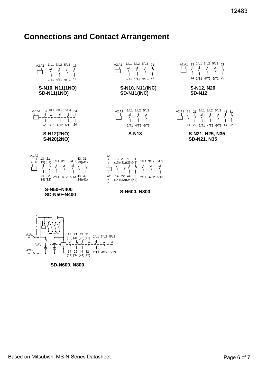# **Connections and Contact Arrangement**

| ٦J<br>٦J<br>١d<br>٦J<br>٦J<br>2/T1 4/T2 6/T3 22<br>2/T1 4/T2 6/T3 14 | S-N10, N11(1NO)<br><b>SD-N11(1NO)</b> | <b>S-N10, N11(INC)</b><br><b>SD-N11(INC)</b> | S-N12, N20<br><b>SD-N12</b> |
|----------------------------------------------------------------------|---------------------------------------|----------------------------------------------|-----------------------------|
|                                                                      |                                       |                                              | 14 2/T1 4/T2 6/T3           |
| 1/L1 3/L2 $5/L3$ $21$<br>A2 A1<br>A2 A1                              | 1/L1 3/L2 $5/\text{L}3$ 13            | A2 A1                                        | 13 1/L1 3/L2 5/L3           |













A2 A1 1/L1 3/L2 5/L3

2/T1 4/T2 6/T3



14 2/T1 4/T2 6/T3 22





21 13 A1A2 1/L1 3/L2 5/L3

A2 A1 13 21 <sup>1/L1</sup> 3/L2 5/L3 <sub>43 31</sub>

**S-N18 S-N21, N25, N35 SD-N21, N35**

14 22 2/T1 4/T2 6/T3 44 32

**S-N600, N800**

 $\begin{array}{ccc} \n\sqrt{2}/D & \longrightarrow & \overline{1} & \overline{1} & \longrightarrow & 14 \\
\hline\n- & 0 & \longrightarrow & \overline{1} & \longrightarrow & 14\n\end{array}$ (14) (32) (42) (24) 13 21 31 43 (13) (31) (41) (23) 22 32 44 2/T1 4/T2 6/T3 1/L1 3/L2 5/L3